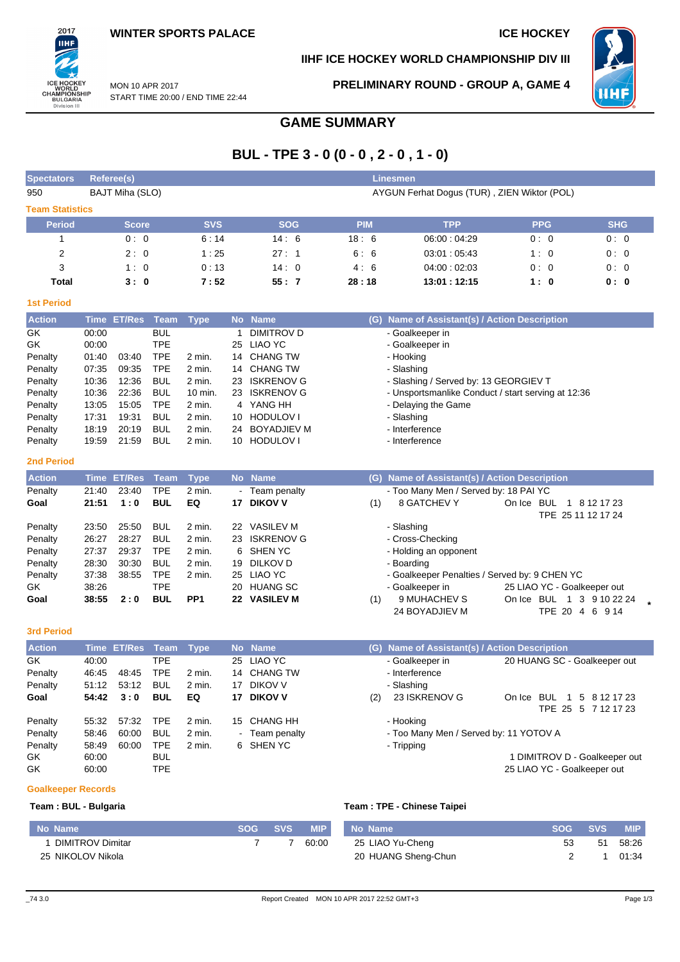2017 **IIHF** 

ICE HOCKEY<br>WORLD<br>CHAMPIONSHIP<br>BULGARIA<br>Division III

### **IIHF ICE HOCKEY WORLD CHAMPIONSHIP DIV III**



MON 10 APR 2017 START TIME 20:00 / END TIME 22:44 **PRELIMINARY ROUND - GROUP A, GAME 4**

# **GAME SUMMARY**

# **BUL - TPE 3 - 0 (0 - 0 , 2 - 0 , 1 - 0)**

| AYGUN Ferhat Dogus (TUR), ZIEN Wiktor (POL)<br>BAJT Miha (SLO)<br>950<br><b>Team Statistics</b><br><b>SVS</b><br><b>PIM</b><br><b>SHG</b><br><b>SOG</b><br><b>TPP</b><br><b>PPG</b><br><b>Period</b><br><b>Score</b><br>14:6<br>1<br>0:0<br>6:14<br>18:6<br>06:00:04:29<br>0:0<br>0:0<br>$\overline{c}$<br>2:0<br>27:1<br>1:25<br>6:6<br>03:01:05:43<br>1:0<br>0:0<br>3<br>14:0<br>1:0<br>0:13<br>4:6<br>04:00:02:03<br>0:0<br>0:0<br>55:7<br><b>Total</b><br>3:0<br>7:52<br>28:18<br>13:01 : 12:15<br>1:0<br>0: 0<br><b>1st Period</b><br><b>Name</b><br><b>Action</b><br><b>ET/Res</b><br><b>Team</b><br><b>No</b><br>Name of Assistant(s) / Action Description<br><b>Time</b><br><b>Type</b><br>(G)<br><b>BUL</b><br><b>DIMITROV D</b><br>00:00<br>- Goalkeeper in<br>1<br><b>TPE</b><br>00:00<br>LIAO YC<br>- Goalkeeper in<br>25<br><b>TPE</b><br><b>CHANG TW</b><br>Penalty<br>- Hooking<br>01:40<br>03:40<br>2 min.<br>14<br><b>TPE</b><br>09:35<br><b>CHANG TW</b><br>- Slashing<br>Penalty<br>07:35<br>2 min.<br>14<br>10:36<br>12:36<br><b>BUL</b><br><b>ISKRENOV G</b><br>- Slashing / Served by: 13 GEORGIEV T<br>Penalty<br>2 min.<br>23<br>22:36<br><b>BUL</b><br><b>ISKRENOV G</b><br>Penalty<br>10:36<br>10 min.<br>23<br>- Unsportsmanlike Conduct / start serving at 12:36<br>13:05<br>15:05<br><b>TPE</b><br>4 YANG HH<br>Penalty<br>2 min.<br>- Delaying the Game<br><b>BUL</b><br>17:31<br>19:31<br><b>HODULOV I</b><br>- Slashing<br>Penalty<br>2 min.<br>10<br><b>BUL</b><br>- Interference<br>Penalty<br>18:19<br>20:19<br>2 min.<br><b>BOYADJIEV M</b><br>24<br>19:59<br>21:59<br><b>BUL</b><br><b>HODULOV I</b><br>- Interference<br>Penalty<br>2 min.<br>10<br><b>2nd Period</b><br><b>Action</b><br><b>ET/Res</b><br><b>Name</b><br>Name of Assistant(s) / Action Description<br><b>Time</b><br><b>Team</b><br><b>Type</b><br><b>No</b><br>(G)<br>23:40<br><b>TPE</b><br>- Too Many Men / Served by: 18 PAI YC<br>21:40<br>2 min.<br>- Team penalty<br>Goal<br>21:51<br>1:0<br><b>BUL</b><br>EQ<br>17 DIKOV V<br>8 GATCHEV Y<br>On Ice BUL 1 8 12 17 23<br>(1)<br>TPE 25 11 12 17 24<br>25:50<br><b>BUL</b><br>2 min.<br>22 VASILEV M<br>Penalty<br>23:50<br>- Slashing<br><b>BUL</b><br>26:27<br>28:27<br>2 min.<br><b>ISKRENOV G</b><br>- Cross-Checking<br>23<br>27:37<br>29:37<br><b>TPE</b><br><b>SHEN YC</b><br>- Holding an opponent<br>2 min.<br>6<br>28:30<br>30:30<br><b>BUL</b><br>2 min.<br>DILKOV D<br>19<br>- Boarding<br>37:38<br>38:55<br><b>TPE</b><br>25 LIAO YC<br>- Goalkeeper Penalties / Served by: 9 CHEN YC<br>2 min.<br><b>TPE</b><br>GK<br>38:26<br><b>HUANG SC</b><br>- Goalkeeper in<br>25 LIAO YC - Goalkeeper out<br>20<br>38:55<br>2:0<br><b>BUL</b><br>PP1<br>22 VASILEV M<br>9 MUHACHEV S<br>On Ice BUL 1 3 9 10 22 24<br>Goal<br>(1)<br>24 BOYADJIEV M<br>TPE 20 4 6 9 14<br><b>3rd Period</b><br><b>Action</b><br>Time ET/Res<br>Team<br>No Name<br>(G) Name of Assistant(s) / Action Description<br><b>Type</b><br><b>TPE</b><br><b>LIAO YC</b><br>40:00<br>- Goalkeeper in<br>20 HUANG SC - Goalkeeper out<br>25<br><b>TPE</b><br>48:45<br><b>CHANG TW</b><br>Penalty<br>46:45<br>2 min.<br>14<br>- Interference<br>Penalty<br>53:12<br><b>BUL</b><br>17 DIKOV V<br>- Slashing<br>51:12<br>2 min.<br><b>BUL</b><br>EQ<br>23 ISKRENOV G<br>Goal<br>54:42<br>3:0<br><b>DIKOV V</b><br>On Ice BUL 1 5 8 12 17 23<br>17<br>(2) | <b>Spectators</b> | <b>Referee(s)</b> |  | Linesmen |  |  |  |  |  |  |  |  |
|---------------------------------------------------------------------------------------------------------------------------------------------------------------------------------------------------------------------------------------------------------------------------------------------------------------------------------------------------------------------------------------------------------------------------------------------------------------------------------------------------------------------------------------------------------------------------------------------------------------------------------------------------------------------------------------------------------------------------------------------------------------------------------------------------------------------------------------------------------------------------------------------------------------------------------------------------------------------------------------------------------------------------------------------------------------------------------------------------------------------------------------------------------------------------------------------------------------------------------------------------------------------------------------------------------------------------------------------------------------------------------------------------------------------------------------------------------------------------------------------------------------------------------------------------------------------------------------------------------------------------------------------------------------------------------------------------------------------------------------------------------------------------------------------------------------------------------------------------------------------------------------------------------------------------------------------------------------------------------------------------------------------------------------------------------------------------------------------------------------------------------------------------------------------------------------------------------------------------------------------------------------------------------------------------------------------------------------------------------------------------------------------------------------------------------------------------------------------------------------------------------------------------------------------------------------------------------------------------------------------------------------------------------------------------------------------------------------------------------------------------------------------------------------------------------------------------------------------------------------------------------------------------------------------------------------------------------------------------------------------------------------------------------------------------------------------------------------------------------------------------------------------------------------------------------------------------------------------------------------------------------------------------------------------------------------------------------------------------------------------------------------------|-------------------|-------------------|--|----------|--|--|--|--|--|--|--|--|
|                                                                                                                                                                                                                                                                                                                                                                                                                                                                                                                                                                                                                                                                                                                                                                                                                                                                                                                                                                                                                                                                                                                                                                                                                                                                                                                                                                                                                                                                                                                                                                                                                                                                                                                                                                                                                                                                                                                                                                                                                                                                                                                                                                                                                                                                                                                                                                                                                                                                                                                                                                                                                                                                                                                                                                                                                                                                                                                                                                                                                                                                                                                                                                                                                                                                                                                                                                                             |                   |                   |  |          |  |  |  |  |  |  |  |  |
|                                                                                                                                                                                                                                                                                                                                                                                                                                                                                                                                                                                                                                                                                                                                                                                                                                                                                                                                                                                                                                                                                                                                                                                                                                                                                                                                                                                                                                                                                                                                                                                                                                                                                                                                                                                                                                                                                                                                                                                                                                                                                                                                                                                                                                                                                                                                                                                                                                                                                                                                                                                                                                                                                                                                                                                                                                                                                                                                                                                                                                                                                                                                                                                                                                                                                                                                                                                             |                   |                   |  |          |  |  |  |  |  |  |  |  |
|                                                                                                                                                                                                                                                                                                                                                                                                                                                                                                                                                                                                                                                                                                                                                                                                                                                                                                                                                                                                                                                                                                                                                                                                                                                                                                                                                                                                                                                                                                                                                                                                                                                                                                                                                                                                                                                                                                                                                                                                                                                                                                                                                                                                                                                                                                                                                                                                                                                                                                                                                                                                                                                                                                                                                                                                                                                                                                                                                                                                                                                                                                                                                                                                                                                                                                                                                                                             |                   |                   |  |          |  |  |  |  |  |  |  |  |
|                                                                                                                                                                                                                                                                                                                                                                                                                                                                                                                                                                                                                                                                                                                                                                                                                                                                                                                                                                                                                                                                                                                                                                                                                                                                                                                                                                                                                                                                                                                                                                                                                                                                                                                                                                                                                                                                                                                                                                                                                                                                                                                                                                                                                                                                                                                                                                                                                                                                                                                                                                                                                                                                                                                                                                                                                                                                                                                                                                                                                                                                                                                                                                                                                                                                                                                                                                                             |                   |                   |  |          |  |  |  |  |  |  |  |  |
|                                                                                                                                                                                                                                                                                                                                                                                                                                                                                                                                                                                                                                                                                                                                                                                                                                                                                                                                                                                                                                                                                                                                                                                                                                                                                                                                                                                                                                                                                                                                                                                                                                                                                                                                                                                                                                                                                                                                                                                                                                                                                                                                                                                                                                                                                                                                                                                                                                                                                                                                                                                                                                                                                                                                                                                                                                                                                                                                                                                                                                                                                                                                                                                                                                                                                                                                                                                             |                   |                   |  |          |  |  |  |  |  |  |  |  |
|                                                                                                                                                                                                                                                                                                                                                                                                                                                                                                                                                                                                                                                                                                                                                                                                                                                                                                                                                                                                                                                                                                                                                                                                                                                                                                                                                                                                                                                                                                                                                                                                                                                                                                                                                                                                                                                                                                                                                                                                                                                                                                                                                                                                                                                                                                                                                                                                                                                                                                                                                                                                                                                                                                                                                                                                                                                                                                                                                                                                                                                                                                                                                                                                                                                                                                                                                                                             |                   |                   |  |          |  |  |  |  |  |  |  |  |
|                                                                                                                                                                                                                                                                                                                                                                                                                                                                                                                                                                                                                                                                                                                                                                                                                                                                                                                                                                                                                                                                                                                                                                                                                                                                                                                                                                                                                                                                                                                                                                                                                                                                                                                                                                                                                                                                                                                                                                                                                                                                                                                                                                                                                                                                                                                                                                                                                                                                                                                                                                                                                                                                                                                                                                                                                                                                                                                                                                                                                                                                                                                                                                                                                                                                                                                                                                                             |                   |                   |  |          |  |  |  |  |  |  |  |  |
|                                                                                                                                                                                                                                                                                                                                                                                                                                                                                                                                                                                                                                                                                                                                                                                                                                                                                                                                                                                                                                                                                                                                                                                                                                                                                                                                                                                                                                                                                                                                                                                                                                                                                                                                                                                                                                                                                                                                                                                                                                                                                                                                                                                                                                                                                                                                                                                                                                                                                                                                                                                                                                                                                                                                                                                                                                                                                                                                                                                                                                                                                                                                                                                                                                                                                                                                                                                             |                   |                   |  |          |  |  |  |  |  |  |  |  |
|                                                                                                                                                                                                                                                                                                                                                                                                                                                                                                                                                                                                                                                                                                                                                                                                                                                                                                                                                                                                                                                                                                                                                                                                                                                                                                                                                                                                                                                                                                                                                                                                                                                                                                                                                                                                                                                                                                                                                                                                                                                                                                                                                                                                                                                                                                                                                                                                                                                                                                                                                                                                                                                                                                                                                                                                                                                                                                                                                                                                                                                                                                                                                                                                                                                                                                                                                                                             |                   |                   |  |          |  |  |  |  |  |  |  |  |
|                                                                                                                                                                                                                                                                                                                                                                                                                                                                                                                                                                                                                                                                                                                                                                                                                                                                                                                                                                                                                                                                                                                                                                                                                                                                                                                                                                                                                                                                                                                                                                                                                                                                                                                                                                                                                                                                                                                                                                                                                                                                                                                                                                                                                                                                                                                                                                                                                                                                                                                                                                                                                                                                                                                                                                                                                                                                                                                                                                                                                                                                                                                                                                                                                                                                                                                                                                                             | GK                |                   |  |          |  |  |  |  |  |  |  |  |
|                                                                                                                                                                                                                                                                                                                                                                                                                                                                                                                                                                                                                                                                                                                                                                                                                                                                                                                                                                                                                                                                                                                                                                                                                                                                                                                                                                                                                                                                                                                                                                                                                                                                                                                                                                                                                                                                                                                                                                                                                                                                                                                                                                                                                                                                                                                                                                                                                                                                                                                                                                                                                                                                                                                                                                                                                                                                                                                                                                                                                                                                                                                                                                                                                                                                                                                                                                                             | GK                |                   |  |          |  |  |  |  |  |  |  |  |
|                                                                                                                                                                                                                                                                                                                                                                                                                                                                                                                                                                                                                                                                                                                                                                                                                                                                                                                                                                                                                                                                                                                                                                                                                                                                                                                                                                                                                                                                                                                                                                                                                                                                                                                                                                                                                                                                                                                                                                                                                                                                                                                                                                                                                                                                                                                                                                                                                                                                                                                                                                                                                                                                                                                                                                                                                                                                                                                                                                                                                                                                                                                                                                                                                                                                                                                                                                                             |                   |                   |  |          |  |  |  |  |  |  |  |  |
|                                                                                                                                                                                                                                                                                                                                                                                                                                                                                                                                                                                                                                                                                                                                                                                                                                                                                                                                                                                                                                                                                                                                                                                                                                                                                                                                                                                                                                                                                                                                                                                                                                                                                                                                                                                                                                                                                                                                                                                                                                                                                                                                                                                                                                                                                                                                                                                                                                                                                                                                                                                                                                                                                                                                                                                                                                                                                                                                                                                                                                                                                                                                                                                                                                                                                                                                                                                             |                   |                   |  |          |  |  |  |  |  |  |  |  |
|                                                                                                                                                                                                                                                                                                                                                                                                                                                                                                                                                                                                                                                                                                                                                                                                                                                                                                                                                                                                                                                                                                                                                                                                                                                                                                                                                                                                                                                                                                                                                                                                                                                                                                                                                                                                                                                                                                                                                                                                                                                                                                                                                                                                                                                                                                                                                                                                                                                                                                                                                                                                                                                                                                                                                                                                                                                                                                                                                                                                                                                                                                                                                                                                                                                                                                                                                                                             |                   |                   |  |          |  |  |  |  |  |  |  |  |
|                                                                                                                                                                                                                                                                                                                                                                                                                                                                                                                                                                                                                                                                                                                                                                                                                                                                                                                                                                                                                                                                                                                                                                                                                                                                                                                                                                                                                                                                                                                                                                                                                                                                                                                                                                                                                                                                                                                                                                                                                                                                                                                                                                                                                                                                                                                                                                                                                                                                                                                                                                                                                                                                                                                                                                                                                                                                                                                                                                                                                                                                                                                                                                                                                                                                                                                                                                                             |                   |                   |  |          |  |  |  |  |  |  |  |  |
|                                                                                                                                                                                                                                                                                                                                                                                                                                                                                                                                                                                                                                                                                                                                                                                                                                                                                                                                                                                                                                                                                                                                                                                                                                                                                                                                                                                                                                                                                                                                                                                                                                                                                                                                                                                                                                                                                                                                                                                                                                                                                                                                                                                                                                                                                                                                                                                                                                                                                                                                                                                                                                                                                                                                                                                                                                                                                                                                                                                                                                                                                                                                                                                                                                                                                                                                                                                             |                   |                   |  |          |  |  |  |  |  |  |  |  |
|                                                                                                                                                                                                                                                                                                                                                                                                                                                                                                                                                                                                                                                                                                                                                                                                                                                                                                                                                                                                                                                                                                                                                                                                                                                                                                                                                                                                                                                                                                                                                                                                                                                                                                                                                                                                                                                                                                                                                                                                                                                                                                                                                                                                                                                                                                                                                                                                                                                                                                                                                                                                                                                                                                                                                                                                                                                                                                                                                                                                                                                                                                                                                                                                                                                                                                                                                                                             |                   |                   |  |          |  |  |  |  |  |  |  |  |
|                                                                                                                                                                                                                                                                                                                                                                                                                                                                                                                                                                                                                                                                                                                                                                                                                                                                                                                                                                                                                                                                                                                                                                                                                                                                                                                                                                                                                                                                                                                                                                                                                                                                                                                                                                                                                                                                                                                                                                                                                                                                                                                                                                                                                                                                                                                                                                                                                                                                                                                                                                                                                                                                                                                                                                                                                                                                                                                                                                                                                                                                                                                                                                                                                                                                                                                                                                                             |                   |                   |  |          |  |  |  |  |  |  |  |  |
|                                                                                                                                                                                                                                                                                                                                                                                                                                                                                                                                                                                                                                                                                                                                                                                                                                                                                                                                                                                                                                                                                                                                                                                                                                                                                                                                                                                                                                                                                                                                                                                                                                                                                                                                                                                                                                                                                                                                                                                                                                                                                                                                                                                                                                                                                                                                                                                                                                                                                                                                                                                                                                                                                                                                                                                                                                                                                                                                                                                                                                                                                                                                                                                                                                                                                                                                                                                             |                   |                   |  |          |  |  |  |  |  |  |  |  |
|                                                                                                                                                                                                                                                                                                                                                                                                                                                                                                                                                                                                                                                                                                                                                                                                                                                                                                                                                                                                                                                                                                                                                                                                                                                                                                                                                                                                                                                                                                                                                                                                                                                                                                                                                                                                                                                                                                                                                                                                                                                                                                                                                                                                                                                                                                                                                                                                                                                                                                                                                                                                                                                                                                                                                                                                                                                                                                                                                                                                                                                                                                                                                                                                                                                                                                                                                                                             |                   |                   |  |          |  |  |  |  |  |  |  |  |
|                                                                                                                                                                                                                                                                                                                                                                                                                                                                                                                                                                                                                                                                                                                                                                                                                                                                                                                                                                                                                                                                                                                                                                                                                                                                                                                                                                                                                                                                                                                                                                                                                                                                                                                                                                                                                                                                                                                                                                                                                                                                                                                                                                                                                                                                                                                                                                                                                                                                                                                                                                                                                                                                                                                                                                                                                                                                                                                                                                                                                                                                                                                                                                                                                                                                                                                                                                                             |                   |                   |  |          |  |  |  |  |  |  |  |  |
|                                                                                                                                                                                                                                                                                                                                                                                                                                                                                                                                                                                                                                                                                                                                                                                                                                                                                                                                                                                                                                                                                                                                                                                                                                                                                                                                                                                                                                                                                                                                                                                                                                                                                                                                                                                                                                                                                                                                                                                                                                                                                                                                                                                                                                                                                                                                                                                                                                                                                                                                                                                                                                                                                                                                                                                                                                                                                                                                                                                                                                                                                                                                                                                                                                                                                                                                                                                             | Penalty           |                   |  |          |  |  |  |  |  |  |  |  |
|                                                                                                                                                                                                                                                                                                                                                                                                                                                                                                                                                                                                                                                                                                                                                                                                                                                                                                                                                                                                                                                                                                                                                                                                                                                                                                                                                                                                                                                                                                                                                                                                                                                                                                                                                                                                                                                                                                                                                                                                                                                                                                                                                                                                                                                                                                                                                                                                                                                                                                                                                                                                                                                                                                                                                                                                                                                                                                                                                                                                                                                                                                                                                                                                                                                                                                                                                                                             |                   |                   |  |          |  |  |  |  |  |  |  |  |
|                                                                                                                                                                                                                                                                                                                                                                                                                                                                                                                                                                                                                                                                                                                                                                                                                                                                                                                                                                                                                                                                                                                                                                                                                                                                                                                                                                                                                                                                                                                                                                                                                                                                                                                                                                                                                                                                                                                                                                                                                                                                                                                                                                                                                                                                                                                                                                                                                                                                                                                                                                                                                                                                                                                                                                                                                                                                                                                                                                                                                                                                                                                                                                                                                                                                                                                                                                                             |                   |                   |  |          |  |  |  |  |  |  |  |  |
|                                                                                                                                                                                                                                                                                                                                                                                                                                                                                                                                                                                                                                                                                                                                                                                                                                                                                                                                                                                                                                                                                                                                                                                                                                                                                                                                                                                                                                                                                                                                                                                                                                                                                                                                                                                                                                                                                                                                                                                                                                                                                                                                                                                                                                                                                                                                                                                                                                                                                                                                                                                                                                                                                                                                                                                                                                                                                                                                                                                                                                                                                                                                                                                                                                                                                                                                                                                             | Penalty           |                   |  |          |  |  |  |  |  |  |  |  |
|                                                                                                                                                                                                                                                                                                                                                                                                                                                                                                                                                                                                                                                                                                                                                                                                                                                                                                                                                                                                                                                                                                                                                                                                                                                                                                                                                                                                                                                                                                                                                                                                                                                                                                                                                                                                                                                                                                                                                                                                                                                                                                                                                                                                                                                                                                                                                                                                                                                                                                                                                                                                                                                                                                                                                                                                                                                                                                                                                                                                                                                                                                                                                                                                                                                                                                                                                                                             | Penalty           |                   |  |          |  |  |  |  |  |  |  |  |
|                                                                                                                                                                                                                                                                                                                                                                                                                                                                                                                                                                                                                                                                                                                                                                                                                                                                                                                                                                                                                                                                                                                                                                                                                                                                                                                                                                                                                                                                                                                                                                                                                                                                                                                                                                                                                                                                                                                                                                                                                                                                                                                                                                                                                                                                                                                                                                                                                                                                                                                                                                                                                                                                                                                                                                                                                                                                                                                                                                                                                                                                                                                                                                                                                                                                                                                                                                                             | Penalty           |                   |  |          |  |  |  |  |  |  |  |  |
|                                                                                                                                                                                                                                                                                                                                                                                                                                                                                                                                                                                                                                                                                                                                                                                                                                                                                                                                                                                                                                                                                                                                                                                                                                                                                                                                                                                                                                                                                                                                                                                                                                                                                                                                                                                                                                                                                                                                                                                                                                                                                                                                                                                                                                                                                                                                                                                                                                                                                                                                                                                                                                                                                                                                                                                                                                                                                                                                                                                                                                                                                                                                                                                                                                                                                                                                                                                             | Penalty           |                   |  |          |  |  |  |  |  |  |  |  |
|                                                                                                                                                                                                                                                                                                                                                                                                                                                                                                                                                                                                                                                                                                                                                                                                                                                                                                                                                                                                                                                                                                                                                                                                                                                                                                                                                                                                                                                                                                                                                                                                                                                                                                                                                                                                                                                                                                                                                                                                                                                                                                                                                                                                                                                                                                                                                                                                                                                                                                                                                                                                                                                                                                                                                                                                                                                                                                                                                                                                                                                                                                                                                                                                                                                                                                                                                                                             |                   |                   |  |          |  |  |  |  |  |  |  |  |
|                                                                                                                                                                                                                                                                                                                                                                                                                                                                                                                                                                                                                                                                                                                                                                                                                                                                                                                                                                                                                                                                                                                                                                                                                                                                                                                                                                                                                                                                                                                                                                                                                                                                                                                                                                                                                                                                                                                                                                                                                                                                                                                                                                                                                                                                                                                                                                                                                                                                                                                                                                                                                                                                                                                                                                                                                                                                                                                                                                                                                                                                                                                                                                                                                                                                                                                                                                                             |                   |                   |  |          |  |  |  |  |  |  |  |  |
|                                                                                                                                                                                                                                                                                                                                                                                                                                                                                                                                                                                                                                                                                                                                                                                                                                                                                                                                                                                                                                                                                                                                                                                                                                                                                                                                                                                                                                                                                                                                                                                                                                                                                                                                                                                                                                                                                                                                                                                                                                                                                                                                                                                                                                                                                                                                                                                                                                                                                                                                                                                                                                                                                                                                                                                                                                                                                                                                                                                                                                                                                                                                                                                                                                                                                                                                                                                             |                   |                   |  |          |  |  |  |  |  |  |  |  |
|                                                                                                                                                                                                                                                                                                                                                                                                                                                                                                                                                                                                                                                                                                                                                                                                                                                                                                                                                                                                                                                                                                                                                                                                                                                                                                                                                                                                                                                                                                                                                                                                                                                                                                                                                                                                                                                                                                                                                                                                                                                                                                                                                                                                                                                                                                                                                                                                                                                                                                                                                                                                                                                                                                                                                                                                                                                                                                                                                                                                                                                                                                                                                                                                                                                                                                                                                                                             |                   |                   |  |          |  |  |  |  |  |  |  |  |
|                                                                                                                                                                                                                                                                                                                                                                                                                                                                                                                                                                                                                                                                                                                                                                                                                                                                                                                                                                                                                                                                                                                                                                                                                                                                                                                                                                                                                                                                                                                                                                                                                                                                                                                                                                                                                                                                                                                                                                                                                                                                                                                                                                                                                                                                                                                                                                                                                                                                                                                                                                                                                                                                                                                                                                                                                                                                                                                                                                                                                                                                                                                                                                                                                                                                                                                                                                                             |                   |                   |  |          |  |  |  |  |  |  |  |  |
|                                                                                                                                                                                                                                                                                                                                                                                                                                                                                                                                                                                                                                                                                                                                                                                                                                                                                                                                                                                                                                                                                                                                                                                                                                                                                                                                                                                                                                                                                                                                                                                                                                                                                                                                                                                                                                                                                                                                                                                                                                                                                                                                                                                                                                                                                                                                                                                                                                                                                                                                                                                                                                                                                                                                                                                                                                                                                                                                                                                                                                                                                                                                                                                                                                                                                                                                                                                             | GK                |                   |  |          |  |  |  |  |  |  |  |  |
|                                                                                                                                                                                                                                                                                                                                                                                                                                                                                                                                                                                                                                                                                                                                                                                                                                                                                                                                                                                                                                                                                                                                                                                                                                                                                                                                                                                                                                                                                                                                                                                                                                                                                                                                                                                                                                                                                                                                                                                                                                                                                                                                                                                                                                                                                                                                                                                                                                                                                                                                                                                                                                                                                                                                                                                                                                                                                                                                                                                                                                                                                                                                                                                                                                                                                                                                                                                             |                   |                   |  |          |  |  |  |  |  |  |  |  |
|                                                                                                                                                                                                                                                                                                                                                                                                                                                                                                                                                                                                                                                                                                                                                                                                                                                                                                                                                                                                                                                                                                                                                                                                                                                                                                                                                                                                                                                                                                                                                                                                                                                                                                                                                                                                                                                                                                                                                                                                                                                                                                                                                                                                                                                                                                                                                                                                                                                                                                                                                                                                                                                                                                                                                                                                                                                                                                                                                                                                                                                                                                                                                                                                                                                                                                                                                                                             |                   |                   |  |          |  |  |  |  |  |  |  |  |
|                                                                                                                                                                                                                                                                                                                                                                                                                                                                                                                                                                                                                                                                                                                                                                                                                                                                                                                                                                                                                                                                                                                                                                                                                                                                                                                                                                                                                                                                                                                                                                                                                                                                                                                                                                                                                                                                                                                                                                                                                                                                                                                                                                                                                                                                                                                                                                                                                                                                                                                                                                                                                                                                                                                                                                                                                                                                                                                                                                                                                                                                                                                                                                                                                                                                                                                                                                                             |                   |                   |  |          |  |  |  |  |  |  |  |  |
| TPE 25 5 7 12 17 23<br>57:32<br><b>TPE</b><br>15 CHANG HH<br>- Hooking<br>55:32<br>2 min.                                                                                                                                                                                                                                                                                                                                                                                                                                                                                                                                                                                                                                                                                                                                                                                                                                                                                                                                                                                                                                                                                                                                                                                                                                                                                                                                                                                                                                                                                                                                                                                                                                                                                                                                                                                                                                                                                                                                                                                                                                                                                                                                                                                                                                                                                                                                                                                                                                                                                                                                                                                                                                                                                                                                                                                                                                                                                                                                                                                                                                                                                                                                                                                                                                                                                                   | Penalty           |                   |  |          |  |  |  |  |  |  |  |  |
| <b>BUL</b><br>60:00<br>- Team penalty<br>- Too Many Men / Served by: 11 YOTOV A<br>Penalty<br>58:46<br>2 min.                                                                                                                                                                                                                                                                                                                                                                                                                                                                                                                                                                                                                                                                                                                                                                                                                                                                                                                                                                                                                                                                                                                                                                                                                                                                                                                                                                                                                                                                                                                                                                                                                                                                                                                                                                                                                                                                                                                                                                                                                                                                                                                                                                                                                                                                                                                                                                                                                                                                                                                                                                                                                                                                                                                                                                                                                                                                                                                                                                                                                                                                                                                                                                                                                                                                               |                   |                   |  |          |  |  |  |  |  |  |  |  |
| <b>TPE</b><br><b>SHEN YC</b><br>- Tripping<br>58:49<br>60:00<br>2 min.<br>6                                                                                                                                                                                                                                                                                                                                                                                                                                                                                                                                                                                                                                                                                                                                                                                                                                                                                                                                                                                                                                                                                                                                                                                                                                                                                                                                                                                                                                                                                                                                                                                                                                                                                                                                                                                                                                                                                                                                                                                                                                                                                                                                                                                                                                                                                                                                                                                                                                                                                                                                                                                                                                                                                                                                                                                                                                                                                                                                                                                                                                                                                                                                                                                                                                                                                                                 | Penalty           |                   |  |          |  |  |  |  |  |  |  |  |
| 60:00<br><b>BUL</b><br>1 DIMITROV D - Goalkeeper out                                                                                                                                                                                                                                                                                                                                                                                                                                                                                                                                                                                                                                                                                                                                                                                                                                                                                                                                                                                                                                                                                                                                                                                                                                                                                                                                                                                                                                                                                                                                                                                                                                                                                                                                                                                                                                                                                                                                                                                                                                                                                                                                                                                                                                                                                                                                                                                                                                                                                                                                                                                                                                                                                                                                                                                                                                                                                                                                                                                                                                                                                                                                                                                                                                                                                                                                        | GK                |                   |  |          |  |  |  |  |  |  |  |  |
| <b>TPE</b><br>60:00<br>25 LIAO YC - Goalkeeper out                                                                                                                                                                                                                                                                                                                                                                                                                                                                                                                                                                                                                                                                                                                                                                                                                                                                                                                                                                                                                                                                                                                                                                                                                                                                                                                                                                                                                                                                                                                                                                                                                                                                                                                                                                                                                                                                                                                                                                                                                                                                                                                                                                                                                                                                                                                                                                                                                                                                                                                                                                                                                                                                                                                                                                                                                                                                                                                                                                                                                                                                                                                                                                                                                                                                                                                                          | GK                |                   |  |          |  |  |  |  |  |  |  |  |

### **Goalkeeper Records**

### **Team : BUL - Bulgaria Team : TPE - Chinese Taipei**

| Mo Name           | <b>SOG</b> | <b>SVS</b> | <b>MIP</b> | No Name             |    | SOG SVS | <b>MIP</b> |
|-------------------|------------|------------|------------|---------------------|----|---------|------------|
| DIMITROV Dimitar  |            |            | 60:00      | 25 LIAO Yu-Cheng    | 53 | 51      | 58:26      |
| 25 NIKOLOV Nikola |            |            |            | 20 HUANG Sheng-Chun |    |         | 01:34      |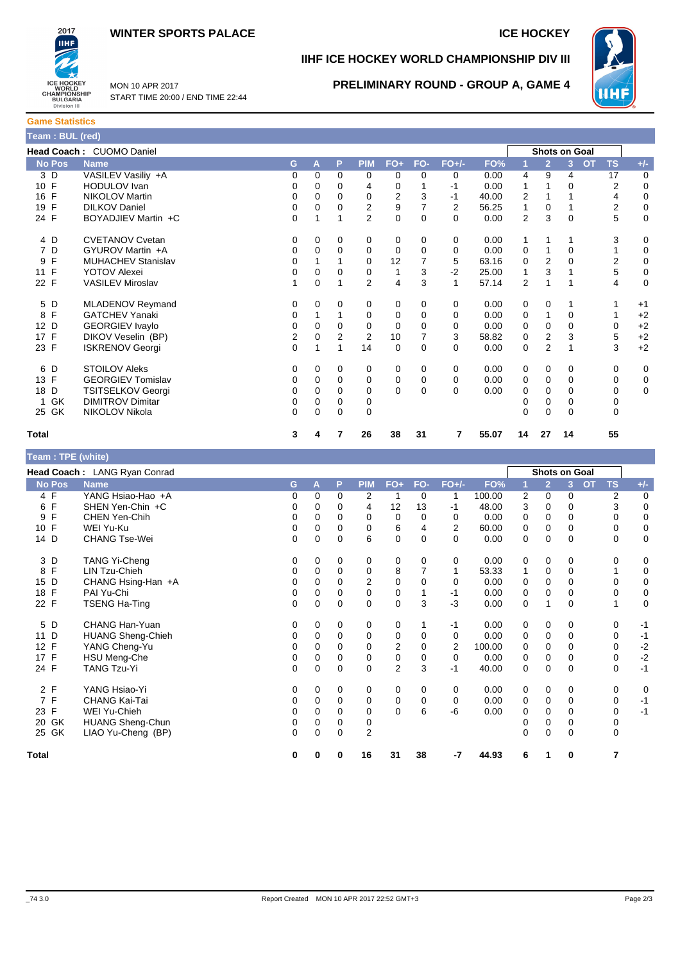



MON 10 APR 2017 START TIME 20:00 / END TIME 22:44

# **IIHF ICE HOCKEY WORLD CHAMPIONSHIP DIV III**



**PRELIMINARY ROUND - GROUP A, GAME 4**

| <b>Game Statistics</b> |  |  |  |  |  |  |  |  |
|------------------------|--|--|--|--|--|--|--|--|
| Team : BUL (red)       |  |  |  |  |  |  |  |  |

|                    | Head Coach: CUOMO Daniel  |    |          |          |                |          |     |          |       |                |                | Shots on Goal  |                        |             |
|--------------------|---------------------------|----|----------|----------|----------------|----------|-----|----------|-------|----------------|----------------|----------------|------------------------|-------------|
| No Pos             | <b>Name</b>               | G. | Α        | P        | <b>PIM</b>     | $FO+$    | FO- | $FO+/-$  | FO%   |                | $\overline{2}$ | 3 <sup>1</sup> | <b>OT</b><br><b>TS</b> | $+/-$       |
| 3 D                | VASILEV Vasiliy +A        | 0  | $\Omega$ | 0        | 0              | 0        | 0   | 0        | 0.00  | 4              | 9              | 4              | 17                     | $\mathbf 0$ |
| 10 F               | <b>HODULOV</b> Ivan       | 0  | 0        | 0        | 4              | 0        |     | $-1$     | 0.00  | 1              |                | 0              | 2                      | 0           |
| F<br>16            | <b>NIKOLOV Martin</b>     | 0  | $\Omega$ | 0        | 0              | 2        | 3   | -1       | 40.00 | 2              |                |                | 4                      | $\mathbf 0$ |
| $\mathsf{F}$<br>19 | <b>DILKOV Daniel</b>      | 0  | $\Omega$ | 0        | $\overline{2}$ | 9        |     | 2        | 56.25 | 1              | $\mathbf 0$    |                | 2                      | $\mathbf 0$ |
| 24 F               | BOYADJIEV Martin +C       | 0  |          |          | 2              | 0        | 0   | $\Omega$ | 0.00  | $\overline{2}$ | 3              | $\Omega$       | 5                      | $\pmb{0}$   |
| 4 D                | <b>CVETANOV Cvetan</b>    | 0  | 0        | 0        | 0              | 0        | 0   | 0        | 0.00  | 1              | 1              |                | 3                      | 0           |
| 7 D                | GYUROV Martin +A          | 0  | 0        | 0        | 0              | 0        | 0   | 0        | 0.00  | 0              | 1              | 0              |                        | 0           |
| F<br>9             | <b>MUHACHEV Stanislav</b> | 0  |          |          | $\mathbf 0$    | 12       |     | 5        | 63.16 | 0              | $\overline{2}$ | $\Omega$       | 2                      | $\mathbf 0$ |
| $\mathsf{F}$<br>11 | <b>YOTOV Alexei</b>       | 0  | 0        | 0        | 0              | 1        | 3   | $-2$     | 25.00 |                | 3              |                | 5                      | $\pmb{0}$   |
| 22 F               | <b>VASILEV Miroslav</b>   | 1  | 0        |          | $\overline{2}$ | 4        | 3   | 1        | 57.14 | $\overline{2}$ | 1              |                | 4                      | $\mathbf 0$ |
| 5 D                | <b>MLADENOV Reymand</b>   | 0  | $\Omega$ | $\Omega$ | 0              | 0        | 0   | $\Omega$ | 0.00  | 0              | 0              |                |                        | $+1$        |
| F<br>8             | <b>GATCHEV Yanaki</b>     | 0  |          |          | 0              | 0        | 0   | 0        | 0.00  | 0              | 1              | 0              |                        | $+2$        |
| 12 D               | <b>GEORGIEV Ivaylo</b>    | 0  | $\Omega$ | 0        | 0              | 0        | 0   | 0        | 0.00  | 0              | $\mathbf 0$    | $\Omega$       | 0                      | $+2$        |
| 17 F               | DIKOV Veselin (BP)        | 2  | $\Omega$ | 2        | $\overline{2}$ | 10       | 7   | 3        | 58.82 | 0              | $\overline{2}$ | 3              | 5                      | $+2$        |
| 23 F               | <b>ISKRENOV Georgi</b>    | 0  |          |          | 14             | 0        | 0   | $\Omega$ | 0.00  | $\mathbf 0$    | $\overline{2}$ |                | 3                      | $+2$        |
| 6 D                | <b>STOILOV Aleks</b>      | 0  | 0        | 0        | 0              | 0        | 0   | 0        | 0.00  | 0              | 0              | 0              | 0                      | $\mathbf 0$ |
| 13 F               | <b>GEORGIEV Tomislav</b>  | 0  | 0        | $\Omega$ | 0              | 0        | 0   | $\Omega$ | 0.00  | 0              | $\Omega$       | 0              | 0                      | 0           |
| 18 D               | <b>TSITSELKOV Georgi</b>  | 0  | 0        | 0        | 0              | $\Omega$ | 0   | $\Omega$ | 0.00  | 0              | 0              | 0              | 0                      | 0           |
| GK<br>1            | <b>DIMITROV Dimitar</b>   | 0  | 0        | 0        | 0              |          |     |          |       |                | $\mathbf 0$    | 0              | 0                      |             |
| 25 GK              | NIKOLOV Nikola            | 0  | $\Omega$ | $\Omega$ | $\Omega$       |          |     |          |       | $\Omega$       | $\Omega$       | 0              | $\Omega$               |             |
| <b>Total</b>       |                           | 3  | 4        | 7        | 26             | 38       | 31  | 7        | 55.07 | 14             | 27             | 14             | 55                     |             |

| Team : TPE (white) |                              |   |          |             |                |                |          |          |        |   |                      |   |           |           |       |
|--------------------|------------------------------|---|----------|-------------|----------------|----------------|----------|----------|--------|---|----------------------|---|-----------|-----------|-------|
|                    | Head Coach: LANG Ryan Conrad |   |          |             |                |                |          |          |        |   | <b>Shots on Goal</b> |   |           |           |       |
| <b>No Pos</b>      | <b>Name</b>                  | G | Α        | P           | <b>PIM</b>     | $FO+$          | FO-      | $FO+/-$  | FO%    |   | $\overline{2}$       | 3 | <b>OT</b> | <b>TS</b> | $+/-$ |
| 4 F                | YANG Hsiao-Hao +A            | 0 | 0        | 0           | 2              | 1              | 0        | 1        | 100.00 | 2 | 0                    | 0 |           | 2         | 0     |
| F<br>6             | SHEN Yen-Chin +C             | 0 | 0        | 0           | 4              | 12             | 13       | $-1$     | 48.00  | 3 | 0                    | 0 |           | 3         | 0     |
| F<br>9             | CHEN Yen-Chih                | 0 | 0        | 0           | 0              | 0              | 0        | 0        | 0.00   | 0 | 0                    | 0 |           | 0         | 0     |
| F<br>10            | WEI Yu-Ku                    | 0 | 0        | 0           | 0              | 6              | 4        | 2        | 60.00  | 0 | 0                    | 0 |           | 0         | 0     |
| 14 D               | <b>CHANG Tse-Wei</b>         | 0 | $\Omega$ | 0           | 6              | 0              | $\Omega$ | $\Omega$ | 0.00   | 0 | 0                    | 0 |           | 0         | 0     |
| 3 D                | TANG Yi-Cheng                | 0 | 0        | 0           | 0              | 0              | 0        | 0        | 0.00   | 0 | 0                    | 0 |           | 0         | 0     |
| F<br>8             | LIN Tzu-Chieh                | 0 | 0        | 0           | 0              | 8              |          | 1        | 53.33  | 1 | 0                    | 0 |           |           | 0     |
| D<br>15            | CHANG Hsing-Han +A           | 0 | 0        | 0           | $\overline{2}$ | 0              | 0        | 0        | 0.00   | 0 | 0                    | 0 |           | 0         | 0     |
| F<br>18            | PAI Yu-Chi                   | 0 | 0        | 0           | 0              | 0              |          | -1       | 0.00   | 0 | 0                    | 0 |           | 0         | 0     |
| 22 F               | <b>TSENG Ha-Ting</b>         | 0 | $\Omega$ | 0           | 0              | $\mathbf 0$    | 3        | $-3$     | 0.00   | 0 |                      | 0 |           | 1         | 0     |
| 5<br>D             | CHANG Han-Yuan               | 0 | 0        | 0           | 0              | 0              |          | $-1$     | 0.00   | 0 | 0                    | 0 |           | 0         | -1    |
| D<br>11            | <b>HUANG Sheng-Chieh</b>     | 0 | 0        | 0           | 0              | 0              | 0        | 0        | 0.00   | 0 | 0                    | 0 |           | 0         | $-1$  |
| 12 F               | YANG Cheng-Yu                | 0 | $\Omega$ | 0           | 0              | $\overline{2}$ | 0        | 2        | 100.00 | 0 | 0                    | 0 |           | 0         | $-2$  |
| 17 F               | <b>HSU Meng-Che</b>          | 0 | 0        | 0           | 0              | 0              | 0        | 0        | 0.00   | 0 | 0                    | 0 |           | 0         | $-2$  |
| 24 F               | <b>TANG Tzu-Yi</b>           | 0 | $\Omega$ | $\Omega$    | $\Omega$       | $\overline{2}$ | 3        | $-1$     | 40.00  | 0 | $\Omega$             | 0 |           | $\Omega$  | $-1$  |
| 2 F                | YANG Hsiao-Yi                | 0 | 0        | 0           | 0              | 0              | 0        | 0        | 0.00   | 0 | 0                    | 0 |           | 0         | 0     |
| F<br>7             | CHANG Kai-Tai                | 0 | 0        | 0           | 0              | 0              | 0        | 0        | 0.00   | 0 | 0                    | 0 |           | 0         | $-1$  |
| F<br>23            | WEI Yu-Chieh                 | 0 | $\Omega$ | 0           | 0              | $\Omega$       | 6        | -6       | 0.00   | 0 | 0                    | 0 |           | 0         | $-1$  |
| GK<br>20           | <b>HUANG Sheng-Chun</b>      | 0 | 0        | 0           | 0              |                |          |          |        | 0 | 0                    | 0 |           | 0         |       |
| 25 GK              | LIAO Yu-Cheng (BP)           | 0 | $\Omega$ | $\mathbf 0$ | $\overline{2}$ |                |          |          |        | 0 | 0                    | 0 |           | 0         |       |
| <b>Total</b>       |                              | 0 | 0        | 0           | 16             | 31             | 38       | -7       | 44.93  | 6 |                      | 0 |           | 7         |       |